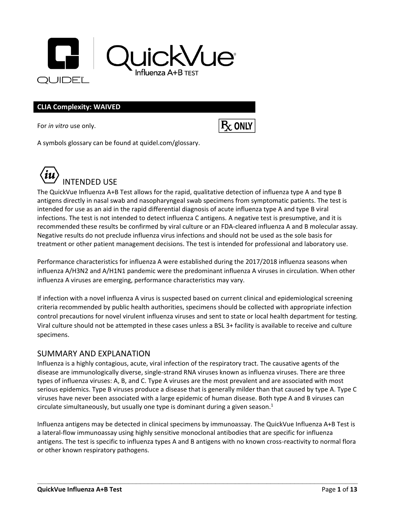

#### **CLIA Complexity: WAIVED**

For *in vitro* use only.



A symbols glossary can be found at quidel.com/glossary.



The QuickVue Influenza A+B Test allows for the rapid, qualitative detection of influenza type A and type B antigens directly in nasal swab and nasopharyngeal swab specimens from symptomatic patients. The test is intended for use as an aid in the rapid differential diagnosis of acute influenza type A and type B viral infections. The test is not intended to detect influenza C antigens. A negative test is presumptive, and it is recommended these results be confirmed by viral culture or an FDA-cleared influenza A and B molecular assay. Negative results do not preclude influenza virus infections and should not be used as the sole basis for treatment or other patient management decisions. The test is intended for professional and laboratory use.

Performance characteristics for influenza A were established during the 2017/2018 influenza seasons when influenza A/H3N2 and A/H1N1 pandemic were the predominant influenza A viruses in circulation. When other influenza A viruses are emerging, performance characteristics may vary.

If infection with a novel influenza A virus is suspected based on current clinical and epidemiological screening criteria recommended by public health authorities, specimens should be collected with appropriate infection control precautions for novel virulent influenza viruses and sent to state or local health department for testing. Viral culture should not be attempted in these cases unless a BSL 3+ facility is available to receive and culture specimens.

#### SUMMARY AND EXPLANATION

Influenza is a highly contagious, acute, viral infection of the respiratory tract. The causative agents of the disease are immunologically diverse, single-strand RNA viruses known as influenza viruses. There are three types of influenza viruses: A, B, and C. Type A viruses are the most prevalent and are associated with most serious epidemics. Type B viruses produce a disease that is generally milder than that caused by type A. Type C viruses have never been associated with a large epidemic of human disease. Both type A and B viruses can circulate simultaneously, but usually one type is dominant during a given season. $<sup>1</sup>$ </sup>

Influenza antigens may be detected in clinical specimens by immunoassay. The QuickVue Influenza A+B Test is a lateral-flow immunoassay using highly sensitive monoclonal antibodies that are specific for influenza antigens. The test is specific to influenza types A and B antigens with no known cross-reactivity to normal flora or other known respiratory pathogens.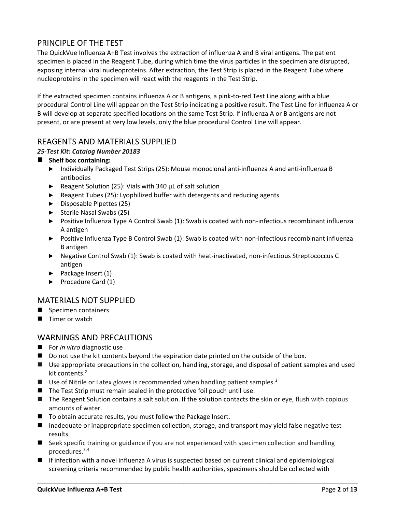# PRINCIPLE OF THE TEST

The QuickVue Influenza A+B Test involves the extraction of influenza A and B viral antigens. The patient specimen is placed in the Reagent Tube, during which time the virus particles in the specimen are disrupted, exposing internal viral nucleoproteins. After extraction, the Test Strip is placed in the Reagent Tube where nucleoproteins in the specimen will react with the reagents in the Test Strip.

If the extracted specimen contains influenza A or B antigens, a pink-to-red Test Line along with a blue procedural Control Line will appear on the Test Strip indicating a positive result. The Test Line for influenza A or B will develop at separate specified locations on the same Test Strip. If influenza A or B antigens are not present, or are present at very low levels, only the blue procedural Control Line will appear.

### REAGENTS AND MATERIALS SUPPLIED

#### *25-Test Kit: Catalog Number 20183*

#### ■ Shelf box containing:

- ► Individually Packaged Test Strips (25): Mouse monoclonal anti-influenza A and anti-influenza B antibodies
- ► Reagent Solution (25): Vials with 340 µL of salt solution
- ► Reagent Tubes (25): Lyophilized buffer with detergents and reducing agents
- ► Disposable Pipettes (25)
- ► Sterile Nasal Swabs (25)
- ► Positive Influenza Type A Control Swab (1): Swab is coated with non-infectious recombinant influenza A antigen
- ► Positive Influenza Type B Control Swab (1): Swab is coated with non-infectious recombinant influenza B antigen
- ► Negative Control Swab (1): Swab is coated with heat-inactivated, non-infectious Streptococcus C antigen
- ► Package Insert (1)
- ► Procedure Card (1)

#### MATERIALS NOT SUPPLIED

- Specimen containers
- Timer or watch

#### WARNINGS AND PRECAUTIONS

- For *in vitro* diagnostic use
- Do not use the kit contents beyond the expiration date printed on the outside of the box.
- Use appropriate precautions in the collection, handling, storage, and disposal of patient samples and used kit contents.<sup>2</sup>
- **■** Use of Nitrile or Latex gloves is recommended when handling patient samples.<sup>2</sup>
- The Test Strip must remain sealed in the protective foil pouch until use.
- The Reagent Solution contains a salt solution. If the solution contacts the skin or eye, flush with copious amounts of water.
- To obtain accurate results, you must follow the Package Insert.
- Inadequate or inappropriate specimen collection, storage, and transport may yield false negative test results.
- Seek specific training or guidance if you are not experienced with specimen collection and handling procedures.3,4
- If infection with a novel influenza A virus is suspected based on current clinical and epidemiological screening criteria recommended by public health authorities, specimens should be collected with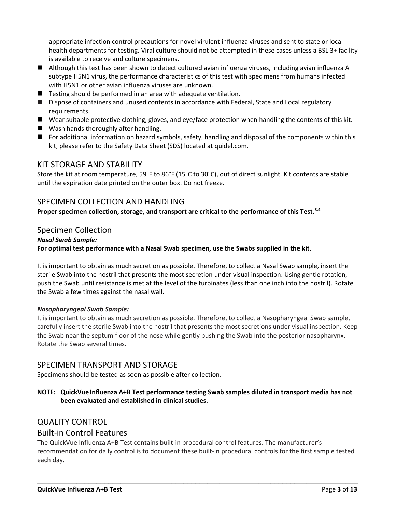appropriate infection control precautions for novel virulent influenza viruses and sent to state or local health departments for testing. Viral culture should not be attempted in these cases unless a BSL 3+ facility is available to receive and culture specimens.

- Although this test has been shown to detect cultured avian influenza viruses, including avian influenza A subtype H5N1 virus, the performance characteristics of this test with specimens from humans infected with H5N1 or other avian influenza viruses are unknown.
- $\blacksquare$  Testing should be performed in an area with adequate ventilation.
- Dispose of containers and unused contents in accordance with Federal, State and Local regulatory requirements.
- Wear suitable protective clothing, gloves, and eye/face protection when handling the contents of this kit.
- Wash hands thoroughly after handling.
- For additional information on hazard symbols, safety, handling and disposal of the components within this kit, please refer to the Safety Data Sheet (SDS) located at quidel.com.

#### KIT STORAGE AND STABILITY

Store the kit at room temperature, 59°F to 86°F (15°C to 30°C), out of direct sunlight. Kit contents are stable until the expiration date printed on the outer box. Do not freeze.

#### SPECIMEN COLLECTION AND HANDLING

**Proper specimen collection, storage, and transport are critical to the performance of this Test.3,4**

#### Specimen Collection

#### *Nasal Swab Sample:*

**For optimal test performance with a Nasal Swab specimen, use the Swabs supplied in the kit.**

It is important to obtain as much secretion as possible. Therefore, to collect a Nasal Swab sample, insert the sterile Swab into the nostril that presents the most secretion under visual inspection. Using gentle rotation, push the Swab until resistance is met at the level of the turbinates (less than one inch into the nostril). Rotate the Swab a few times against the nasal wall.

#### *Nasopharyngeal Swab Sample:*

It is important to obtain as much secretion as possible. Therefore, to collect a Nasopharyngeal Swab sample, carefully insert the sterile Swab into the nostril that presents the most secretions under visual inspection. Keep the Swab near the septum floor of the nose while gently pushing the Swab into the posterior nasopharynx. Rotate the Swab several times.

#### SPECIMEN TRANSPORT AND STORAGE

Specimens should be tested as soon as possible after collection.

#### **NOTE: QuickVue Influenza A+B Test performance testing Swab samples diluted in transport media has not been evaluated and established in clinical studies.**

#### QUALITY CONTROL

#### Built-in Control Features

The QuickVue Influenza A+B Test contains built-in procedural control features. The manufacturer's recommendation for daily control is to document these built-in procedural controls for the first sample tested each day.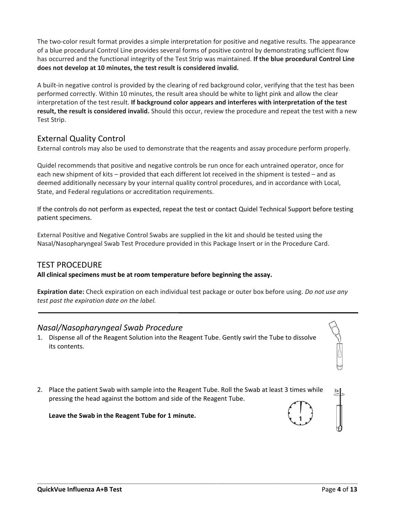The two-color result format provides a simple interpretation for positive and negative results. The appearance of a blue procedural Control Line provides several forms of positive control by demonstrating sufficient flow has occurred and the functional integrity of the Test Strip was maintained. **If the blue procedural Control Line does not develop at 10 minutes, the test result is considered invalid.**

A built-in negative control is provided by the clearing of red background color, verifying that the test has been performed correctly. Within 10 minutes, the result area should be white to light pink and allow the clear interpretation of the test result. **If background color appears and interferes with interpretation of the test result, the result is considered invalid.** Should this occur, review the procedure and repeat the test with a new Test Strip.

# External Quality Control

External controls may also be used to demonstrate that the reagents and assay procedure perform properly.

Quidel recommends that positive and negative controls be run once for each untrained operator, once for each new shipment of kits – provided that each different lot received in the shipment is tested – and as deemed additionally necessary by your internal quality control procedures, and in accordance with Local, State, and Federal regulations or accreditation requirements.

If the controls do not perform as expected, repeat the test or contact Quidel Technical Support before testing patient specimens.

External Positive and Negative Control Swabs are supplied in the kit and should be tested using the Nasal/Nasopharyngeal Swab Test Procedure provided in this Package Insert or in the Procedure Card.

# TEST PROCEDURE

**All clinical specimens must be at room temperature before beginning the assay.**

**Expiration date:** Check expiration on each individual test package or outer box before using. *Do not use any test past the expiration date on the label.*

# *Nasal/Nasopharyngeal Swab Procedure*

- 1. Dispense all of the Reagent Solution into the Reagent Tube. Gently swirl the Tube to dissolve its contents.
- 2. Place the patient Swab with sample into the Reagent Tube. Roll the Swab at least 3 times while pressing the head against the bottom and side of the Reagent Tube.

**\_\_\_\_\_\_\_\_\_\_\_\_\_\_\_\_\_\_\_\_\_\_\_\_\_\_\_\_\_\_\_\_\_\_\_\_\_\_\_\_\_\_\_\_\_\_\_\_\_\_\_\_\_\_\_\_\_\_\_\_\_\_\_\_\_\_\_\_\_\_\_\_\_\_\_\_\_\_\_\_\_**

**Leave the Swab in the Reagent Tube for 1 minute.**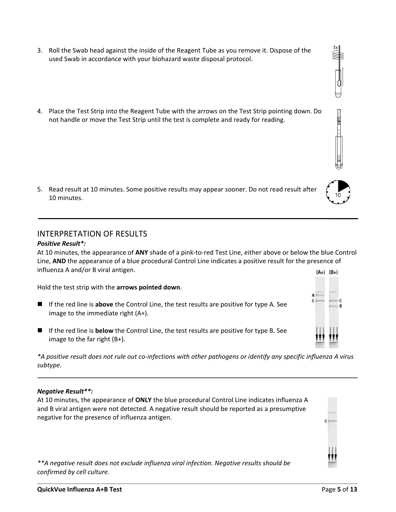- 3. Roll the Swab head against the inside of the Reagent Tube as you remove it. Dispose of the used Swab in accordance with your biohazard waste disposal protocol.
- 4. Place the Test Strip into the Reagent Tube with the arrows on the Test Strip pointing down. Do not handle or move the Test Strip until the test is complete and ready for reading.

5. Read result at 10 minutes. Some positive results may appear sooner. Do not read result after 10 minutes.

# INTERPRETATION OF RESULTS

### *Positive Result\*:*

At 10 minutes, the appearance of **ANY** shade of a pink-to-red Test Line, either above or below the blue Control Line, **AND** the appearance of a blue procedural Control Line indicates a positive result for the presence of influenza A and/or B viral antigen.  $(A+) (B+)$ 

Hold the test strip with the **arrows pointed down**.

- If the red line is above the Control Line, the test results are positive for type A. See image to the immediate right (A+).
- If the red line is **below** the Control Line, the test results are positive for type B. See image to the far right (B+).

*\*A positive result does not rule out co-infections with other pathogens or identify any specific influenza A virus subtype.*

# *Negative Result\*\*:*

At 10 minutes, the appearance of **ONLY** the blue procedural Control Line indicates influenza A and B viral antigen were not detected. A negative result should be reported as a presumptive negative for the presence of influenza antigen.

*\*\*A negative result does not exclude influenza viral infection. Negative results should be confirmed by cell culture.*







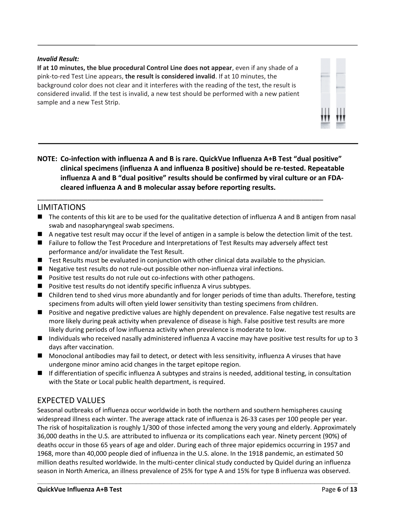#### *Invalid Result:*

**If at 10 minutes, the blue procedural Control Line does not appear**, even if any shade of a pink-to-red Test Line appears, **the result is considered invalid**. If at 10 minutes, the background color does not clear and it interferes with the reading of the test, the result is considered invalid. If the test is invalid, a new test should be performed with a new patient sample and a new Test Strip.



**NOTE: Co-infection with influenza A and B is rare. QuickVue Influenza A+B Test "dual positive" clinical specimens (influenza A and influenza B positive) should be re-tested. Repeatable influenza A and B "dual positive" results should be confirmed by viral culture or an FDAcleared influenza A and B molecular assay before reporting results.**

### LIMITATIONS

- The contents of this kit are to be used for the qualitative detection of influenza A and B antigen from nasal swab and nasopharyngeal swab specimens.
- A negative test result may occur if the level of antigen in a sample is below the detection limit of the test.
- Failure to follow the Test Procedure and Interpretations of Test Results may adversely affect test performance and/or invalidate the Test Result.

\_\_\_\_\_\_\_\_\_\_\_\_\_\_\_\_\_\_\_\_\_\_\_\_\_\_\_\_\_\_\_\_\_\_\_\_\_\_\_\_\_\_\_\_\_\_\_\_\_\_\_\_\_\_\_\_\_\_\_\_\_\_\_\_\_\_\_\_\_\_\_\_\_\_

- Test Results must be evaluated in conjunction with other clinical data available to the physician.
- Negative test results do not rule-out possible other non-influenza viral infections.
- Positive test results do not rule out co-infections with other pathogens.
- Positive test results do not identify specific influenza A virus subtypes.
- Children tend to shed virus more abundantly and for longer periods of time than adults. Therefore, testing specimens from adults will often yield lower sensitivity than testing specimens from children.
- Positive and negative predictive values are highly dependent on prevalence. False negative test results are more likely during peak activity when prevalence of disease is high. False positive test results are more likely during periods of low influenza activity when prevalence is moderate to low.
- Individuals who received nasally administered influenza A vaccine may have positive test results for up to 3 days after vaccination.
- Monoclonal antibodies may fail to detect, or detect with less sensitivity, influenza A viruses that have undergone minor amino acid changes in the target epitope region.
- If differentiation of specific influenza A subtypes and strains is needed, additional testing, in consultation with the State or Local public health department, is required.

#### EXPECTED VALUES

Seasonal outbreaks of influenza occur worldwide in both the northern and southern hemispheres causing widespread illness each winter. The average attack rate of influenza is 26-33 cases per 100 people per year. The risk of hospitalization is roughly 1/300 of those infected among the very young and elderly. Approximately 36,000 deaths in the U.S. are attributed to influenza or its complications each year. Ninety percent (90%) of deaths occur in those 65 years of age and older. During each of three major epidemics occurring in 1957 and 1968, more than 40,000 people died of influenza in the U.S. alone. In the 1918 pandemic, an estimated 50 million deaths resulted worldwide. In the multi-center clinical study conducted by Quidel during an influenza season in North America, an illness prevalence of 25% for type A and 15% for type B influenza was observed.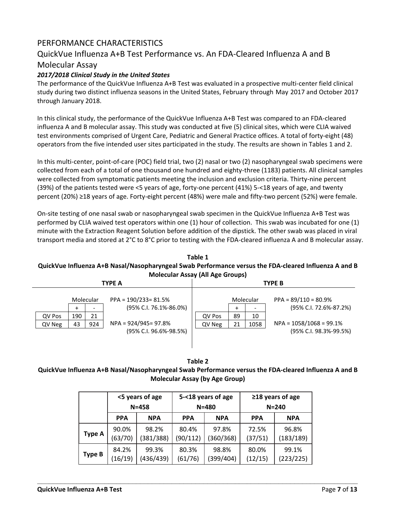# PERFORMANCE CHARACTERISTICS

## QuickVue Influenza A+B Test Performance vs. An FDA-Cleared Influenza A and B

#### Molecular Assay

#### *2017/2018 Clinical Study in the United States*

The performance of the QuickVue Influenza A+B Test was evaluated in a prospective multi-center field clinical study during two distinct influenza seasons in the United States, February through May 2017 and October 2017 through January 2018.

In this clinical study, the performance of the QuickVue Influenza A+B Test was compared to an FDA-cleared influenza A and B molecular assay. This study was conducted at five (5) clinical sites, which were CLIA waived test environments comprised of Urgent Care, Pediatric and General Practice offices. A total of forty-eight (48) operators from the five intended user sites participated in the study. The results are shown in Tables 1 and 2.

In this multi-center, point-of-care (POC) field trial, two (2) nasal or two (2) nasopharyngeal swab specimens were collected from each of a total of one thousand one hundred and eighty-three (1183) patients. All clinical samples were collected from symptomatic patients meeting the inclusion and exclusion criteria. Thirty-nine percent (39%) of the patients tested were <5 years of age, forty-one percent (41%) 5-<18 years of age, and twenty percent (20%) ≥18 years of age. Forty-eight percent (48%) were male and fifty-two percent (52%) were female.

On-site testing of one nasal swab or nasopharyngeal swab specimen in the QuickVue Influenza A+B Test was performed by CLIA waived test operators within one (1) hour of collection. This swab was incubated for one (1) minute with the Extraction Reagent Solution before addition of the dipstick. The other swab was placed in viral transport media and stored at 2°C to 8°C prior to testing with the FDA-cleared influenza A and B molecular assay.

#### **Table 1 QuickVue Influenza A+B Nasal/Nasopharyngeal Swab Performance versus the FDA-cleared Influenza A and B Molecular Assay (All Age Groups)**

| <b>INDICCUTUL ASSUY (AIL ASC OLDUPS)</b> |     |           |                         |               |    |           |                           |  |  |  |
|------------------------------------------|-----|-----------|-------------------------|---------------|----|-----------|---------------------------|--|--|--|
|                                          |     |           | <b>TYPE A</b>           | <b>TYPE B</b> |    |           |                           |  |  |  |
|                                          |     |           |                         |               |    |           |                           |  |  |  |
|                                          |     | Molecular | $PPA = 190/233 = 81.5%$ |               |    | Molecular | $PPA = 89/110 = 80.9%$    |  |  |  |
|                                          | ÷   |           | (95% C.I. 76.1%-86.0%)  |               | ÷  |           | (95% C.I. 72.6%-87.2%)    |  |  |  |
| QV Pos                                   | 190 | 21        |                         | QV Pos        | 89 | 10        |                           |  |  |  |
| QV Neg                                   | 43  | 924       | NPA = 924/945= 97.8%    | QV Neg        | 21 | 1058      | $NPA = 1058/1068 = 99.1%$ |  |  |  |
|                                          |     |           | (95% C.I. 96.6%-98.5%)  |               |    |           | (95% C.I. 98.3%-99.5%)    |  |  |  |
|                                          |     |           |                         |               |    |           |                           |  |  |  |

**Table 2 QuickVue Influenza A+B Nasal/Nasopharyngeal Swab Performance versus the FDA-cleared Influenza A and B Molecular Assay (by Age Group)**

|               |            | <5 years of age<br>$N = 458$ |            | 5-<18 years of age<br>$N = 480$ | ≥18 years of age<br>$N = 240$ |            |  |
|---------------|------------|------------------------------|------------|---------------------------------|-------------------------------|------------|--|
|               | <b>PPA</b> | <b>NPA</b>                   | <b>PPA</b> | <b>NPA</b>                      | <b>PPA</b>                    | <b>NPA</b> |  |
| <b>Type A</b> | 90.0%      | 98.2%                        | 80.4%      | 97.8%                           | 72.5%                         | 96.8%      |  |
|               | (63/70)    | (381/388)                    | (90/112)   | (360/368)                       | (37/51)                       | (183/189)  |  |
| Type B        | 84.2%      | 99.3%                        | 80.3%      | 98.8%                           | 80.0%                         | 99.1%      |  |
|               | (16/19)    | (436/439)                    | (61/76)    | (399/404)                       | (12/15)                       | (223/225)  |  |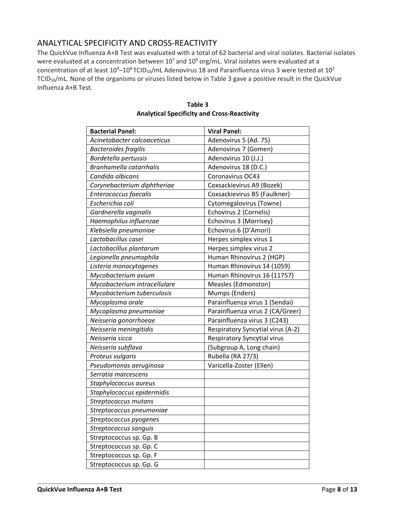# ANALYTICAL SPECIFICITY AND CROSS-REACTIVITY

The QuickVue Influenza A+B Test was evaluated with a total of 62 bacterial and viral isolates. Bacterial isolates were evaluated at a concentration between  $10^7$  and  $10^9$  org/mL. Viral isolates were evaluated at a concentration of at least  $10^4$ – $10^8$ TCID<sub>50</sub>/mL Adenovirus 18 and Parainfluenza virus 3 were tested at  $10^2$ TCID50/mL. None of the organisms or viruses listed below in Table 3 gave a positive result in the QuickVue Influenza A+B Test.

| <b>Bacterial Panel:</b>      | <b>Viral Panel:</b>               |
|------------------------------|-----------------------------------|
| Acinetobacter calcoaceticus  | Adenovirus 5 (Ad. 75)             |
| <b>Bacteroides fragilis</b>  | Adenovirus 7 (Gomen)              |
| Bordetella pertussis         | Adenovirus 10 (J.J.)              |
| Branhamella catarrhalis      | Adenovirus 18 (D.C.)              |
| Candida albicans             | Coronavirus OC43                  |
| Corynebacterium diphtheriae  | Coxsackievirus A9 (Bozek)         |
| Enterococcus faecalis        | Coxsackievirus B5 (Faulkner)      |
| Escherichia coli             | Cytomegalovirus (Towne)           |
| Gardnerella vaginalis        | Echovirus 2 (Cornelis)            |
| Haemophilus influenzae       | Echovirus 3 (Morrisey)            |
| Klebsiella pneumoniae        | Echovirus 6 (D'Amori)             |
| Lactobacillus casei          | Herpes simplex virus 1            |
| Lactobacillus plantarum      | Herpes simplex virus 2            |
| Legionella pneumophila       | Human Rhinovirus 2 (HGP)          |
| Listeria monocytogenes       | Human Rhinovirus 14 (1059)        |
| Mycobacterium avium          | Human Rhinovirus 16 (11757)       |
| Mycobacterium intracellulare | Measles (Edmonston)               |
| Mycobacterium tuberculosis   | Mumps (Enders)                    |
| Mycoplasma orale             | Parainfluenza virus 1 (Sendai)    |
| Mycoplasma pneumoniae        | Parainfluenza virus 2 (CA/Greer)  |
| Neisseria gonorrhoeae        | Parainfluenza virus 3 (C243)      |
| Neisseria meningitidis       | Respiratory Syncytial virus (A-2) |
| Neisseria sicca              | Respiratory Syncytial virus       |
| Neisseria subflava           | (Subgroup A, Long chain)          |
| Proteus vulgaris             | Rubella (RA 27/3)                 |
| Pseudomonas aeruginosa       | Varicella-Zoster (Ellen)          |
| Serratia marcescens          |                                   |
| Staphylococcus aureus        |                                   |
| Staphylococcus epidermidis   |                                   |
| Streptococcus mutans         |                                   |
| Streptococcus pneumoniae     |                                   |
| Streptococcus pyogenes       |                                   |
| Streptococcus sanguis        |                                   |
| Streptococcus sp. Gp. B      |                                   |
| Streptococcus sp. Gp. C      |                                   |
| Streptococcus sp. Gp. F      |                                   |
| Streptococcus sp. Gp. G      |                                   |

**Table 3 Analytical Specificity and Cross-Reactivity**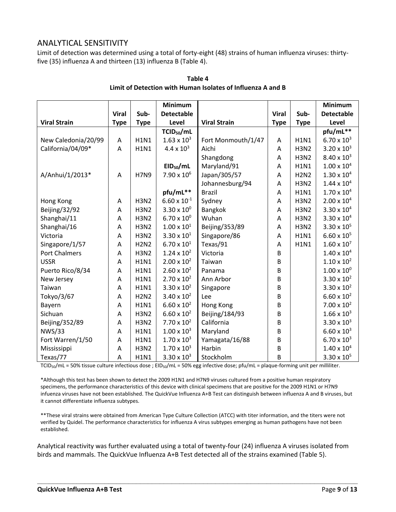## ANALYTICAL SENSITIVITY

Limit of detection was determined using a total of forty-eight (48) strains of human influenza viruses: thirtyfive (35) influenza A and thirteen (13) influenza B (Table 4).

|                      |              |             | <b>Minimum</b>         |                     |              |             | <b>Minimum</b>       |
|----------------------|--------------|-------------|------------------------|---------------------|--------------|-------------|----------------------|
|                      | <b>Viral</b> | Sub-        | <b>Detectable</b>      |                     | <b>Viral</b> | Sub-        | <b>Detectable</b>    |
| <b>Viral Strain</b>  | <b>Type</b>  | <b>Type</b> | Level                  | <b>Viral Strain</b> | <b>Type</b>  | <b>Type</b> | Level                |
|                      |              |             | TCID <sub>50</sub> /mL |                     |              |             | pfu/mL**             |
| New Caledonia/20/99  | Α            | <b>H1N1</b> | $1.63 \times 10^{3}$   | Fort Monmouth/1/47  | Α            | <b>H1N1</b> | $6.70 \times 10^{3}$ |
| California/04/09*    | Α            | <b>H1N1</b> | $4.4 \times 10^{3}$    | Aichi               | Α            | <b>H3N2</b> | $3.20 \times 10^{3}$ |
|                      |              |             |                        | Shangdong           | Α            | <b>H3N2</b> | $8.40 \times 10^{3}$ |
|                      |              |             | EID <sub>50</sub> /mL  | Maryland/91         | A            | <b>H1N1</b> | $1.00 \times 10^{4}$ |
| A/Anhui/1/2013*      | A            | <b>H7N9</b> | $7.90 \times 10^{6}$   | Japan/305/57        | Α            | <b>H2N2</b> | $1.30 \times 10^{4}$ |
|                      |              |             |                        | Johannesburg/94     | A            | <b>H3N2</b> | $1.44 \times 10^{4}$ |
|                      |              |             | pfu/mL**               | <b>Brazil</b>       | Α            | <b>H1N1</b> | $1.70 \times 10^{4}$ |
| Hong Kong            | Α            | <b>H3N2</b> | $6.60 \times 10^{-1}$  | Sydney              | A            | <b>H3N2</b> | $2.00 \times 10^{4}$ |
| Beijing/32/92        | Α            | <b>H3N2</b> | $3.30 \times 10^{0}$   | Bangkok             | A            | <b>H3N2</b> | $3.30 \times 10^{4}$ |
| Shanghai/11          | Α            | <b>H3N2</b> | $6.70 \times 10^{0}$   | Wuhan               | A            | <b>H3N2</b> | $3.30 \times 10^{4}$ |
| Shanghai/16          | Α            | <b>H3N2</b> | $1.00 \times 10^{1}$   | Beijing/353/89      | A            | <b>H3N2</b> | $3.30 \times 10^{5}$ |
| Victoria             | Α            | <b>H3N2</b> | $3.30 \times 10^{1}$   | Singapore/86        | A            | <b>H1N1</b> | $6.60 \times 10^{5}$ |
| Singapore/1/57       | Α            | <b>H2N2</b> | $6.70 \times 10^{1}$   | Texas/91            | Α            | <b>H1N1</b> | $1.60 \times 10^{7}$ |
| <b>Port Chalmers</b> | Α            | <b>H3N2</b> | $1.24 \times 10^{2}$   | Victoria            | B            |             | $1.40 \times 10^{4}$ |
| <b>USSR</b>          | A            | <b>H1N1</b> | $2.00 \times 10^{2}$   | Taiwan              | B            |             | $1.10 \times 10^{2}$ |
| Puerto Rico/8/34     | Α            | <b>H1N1</b> | $2.60 \times 10^{2}$   | Panama              | B            |             | $1.00 \times 10^{0}$ |
| New Jersey           | Α            | <b>H1N1</b> | $2.70 \times 10^{2}$   | Ann Arbor           | B            |             | 3.30 x $10^2$        |
| Taiwan               | Α            | <b>H1N1</b> | $3.30 \times 10^{2}$   | Singapore           | B            |             | 3.30 x $10^2$        |
| Tokyo/3/67           | Α            | <b>H2N2</b> | $3.40 \times 10^{2}$   | Lee                 | B            |             | $6.60 \times 10^{2}$ |
| Bayern               | Α            | <b>H1N1</b> | $6.60 \times 10^{2}$   | Hong Kong           | B            |             | $7.00 \times 10^{2}$ |
| Sichuan              | Α            | <b>H3N2</b> | $6.60 \times 10^{2}$   | Beijing/184/93      | B            |             | $1.66 \times 10^{3}$ |
| Beijing/352/89       | A            | <b>H3N2</b> | $7.70 \times 10^{2}$   | California          | B            |             | $3.30 \times 10^{3}$ |
| <b>NWS/33</b>        | Α            | <b>H1N1</b> | $1.00 \times 10^{3}$   | Maryland            | B            |             | $6.60 \times 10^{3}$ |
| Fort Warren/1/50     | Α            | <b>H1N1</b> | $1.70 \times 10^{3}$   | Yamagata/16/88      | B            |             | $6.70 \times 10^{3}$ |
| Mississippi          | Α            | <b>H3N2</b> | $1.70 \times 10^{3}$   | Harbin              | B            |             | $1.40 \times 10^{4}$ |
| Texas/77             | A            | <b>H1N1</b> | $3.30 \times 10^{3}$   | Stockholm           | B            |             | $3.30 \times 10^{5}$ |

#### **Table 4 Limit of Detection with Human Isolates of Influenza A and B**

TCID<sub>50</sub>/mL = 50% tissue culture infectious dose ; EID<sub>50</sub>/mL = 50% egg infective dose; pfu/mL = plaque-forming unit per milliliter.

\*Although this test has been shown to detect the 2009 H1N1 and H7N9 viruses cultured from a positive human respiratory specimens, the performance characteristics of this device with clinical specimens that are positive for the 2009 H1N1 or H7N9 infuenza viruses have not been established. The QuickVue Influenza A+B Test can distinguish between influenza A and B viruses, but it cannot differentiate influenza subtypes.

\*\*These viral strains were obtained from American Type Culture Collection (ATCC) with titer information, and the titers were not verified by Quidel. The performance characteristics for influenza A virus subtypes emerging as human pathogens have not been established.

Analytical reactivity was further evaluated using a total of twenty-four (24) influenza A viruses isolated from birds and mammals. The QuickVue Influenza A+B Test detected all of the strains examined (Table 5).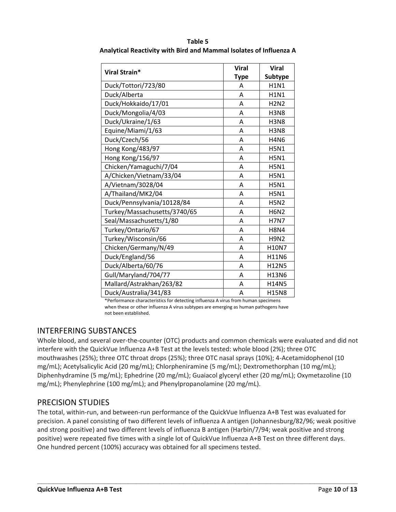|                              | <b>Viral</b> | <b>Viral</b>   |  |
|------------------------------|--------------|----------------|--|
| Viral Strain*                | <b>Type</b>  | <b>Subtype</b> |  |
| Duck/Tottori/723/80          | A            | <b>H1N1</b>    |  |
| Duck/Alberta                 | A            | <b>H1N1</b>    |  |
| Duck/Hokkaido/17/01          | Α            | <b>H2N2</b>    |  |
| Duck/Mongolia/4/03           | Α            | <b>H3N8</b>    |  |
| Duck/Ukraine/1/63            | Α            | <b>H3N8</b>    |  |
| Equine/Miami/1/63            | Α            | <b>H3N8</b>    |  |
| Duck/Czech/56                | A            | <b>H4N6</b>    |  |
| Hong Kong/483/97             | Α            | <b>H5N1</b>    |  |
| Hong Kong/156/97             | Α            | <b>H5N1</b>    |  |
| Chicken/Yamaguchi/7/04       | Α            | <b>H5N1</b>    |  |
| A/Chicken/Vietnam/33/04      | Α            | <b>H5N1</b>    |  |
| A/Vietnam/3028/04            | Α            | <b>H5N1</b>    |  |
| A/Thailand/MK2/04            | Α            | <b>H5N1</b>    |  |
| Duck/Pennsylvania/10128/84   | A            | <b>H5N2</b>    |  |
| Turkey/Massachusetts/3740/65 | Α            | <b>H6N2</b>    |  |
| Seal/Massachusetts/1/80      | A            | <b>H7N7</b>    |  |
| Turkey/Ontario/67            | Α            | <b>H8N4</b>    |  |
| Turkey/Wisconsin/66          | Α            | <b>H9N2</b>    |  |
| Chicken/Germany/N/49         | A            | H10N7          |  |
| Duck/England/56              | Α            | H11N6          |  |
| Duck/Alberta/60/76           | A            | H12N5          |  |
| Gull/Maryland/704/77         | Α            | H13N6          |  |
| Mallard/Astrakhan/263/82     | A            | H14N5          |  |
| Duck/Australia/341/83        | Α            | <b>H15N8</b>   |  |

**Table 5 Analytical Reactivity with Bird and Mammal Isolates of Influenza A**

\*Performance characteristics for detecting influenza A virus from human specimens when these or other influenza A virus subtypes are emerging as human pathogens have not been established.

# INTERFERING SUBSTANCES

Whole blood, and several over-the-counter (OTC) products and common chemicals were evaluated and did not interfere with the QuickVue Influenza A+B Test at the levels tested: whole blood (2%); three OTC mouthwashes (25%); three OTC throat drops (25%); three OTC nasal sprays (10%); 4-Acetamidophenol (10 mg/mL); Acetylsalicylic Acid (20 mg/mL); Chlorpheniramine (5 mg/mL); Dextromethorphan (10 mg/mL); Diphenhydramine (5 mg/mL); Ephedrine (20 mg/mL); Guaiacol glyceryl ether (20 mg/mL); Oxymetazoline (10 mg/mL); Phenylephrine (100 mg/mL); and Phenylpropanolamine (20 mg/mL).

# PRECISION STUDIES

The total, within-run, and between-run performance of the QuickVue Influenza A+B Test was evaluated for precision. A panel consisting of two different levels of influenza A antigen (Johannesburg/82/96; weak positive and strong positive) and two different levels of influenza B antigen (Harbin/7/94; weak positive and strong positive) were repeated five times with a single lot of QuickVue Influenza A+B Test on three different days. One hundred percent (100%) accuracy was obtained for all specimens tested.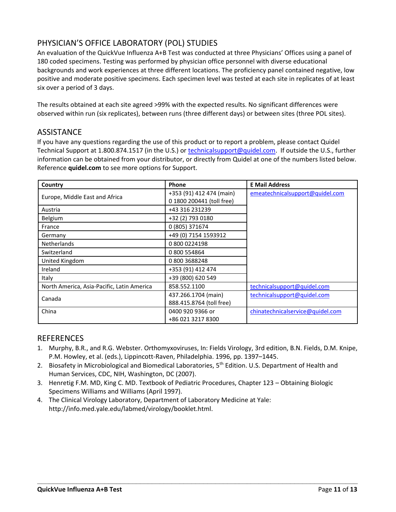# PHYSICIAN'S OFFICE LABORATORY (POL) STUDIES

An evaluation of the QuickVue Influenza A+B Test was conducted at three Physicians' Offices using a panel of 180 coded specimens. Testing was performed by physician office personnel with diverse educational backgrounds and work experiences at three different locations. The proficiency panel contained negative, low positive and moderate positive specimens. Each specimen level was tested at each site in replicates of at least six over a period of 3 days.

The results obtained at each site agreed >99% with the expected results. No significant differences were observed within run (six replicates), between runs (three different days) or between sites (three POL sites).

### **ASSISTANCE**

If you have any questions regarding the use of this product or to report a problem, please contact Quidel Technical Support at 1.800.874.1517 (in the U.S.) or [technicalsupport@quidel.com.](mailto:technicalsupport@quidel.com) If outside the U.S., further information can be obtained from your distributor, or directly from Quidel at one of the numbers listed below. Reference **quidel.com** to see more options for Support.

| Country                                    | <b>Phone</b>              | <b>E Mail Address</b>            |  |  |
|--------------------------------------------|---------------------------|----------------------------------|--|--|
|                                            | +353 (91) 412 474 (main)  | emeatechnicalsupport@quidel.com  |  |  |
| Europe, Middle East and Africa             | 0 1800 200441 (toll free) |                                  |  |  |
| Austria                                    | +43 316 231239            |                                  |  |  |
| Belgium                                    | +32 (2) 793 0180          |                                  |  |  |
| France                                     | 0 (805) 371674            |                                  |  |  |
| Germany                                    | +49 (0) 7154 1593912      |                                  |  |  |
| <b>Netherlands</b>                         | 0 800 0224198             |                                  |  |  |
| Switzerland                                | 0 800 554864              |                                  |  |  |
| United Kingdom                             | 08003688248               |                                  |  |  |
| Ireland                                    | +353 (91) 412 474         |                                  |  |  |
| Italy                                      | +39 (800) 620 549         |                                  |  |  |
| North America, Asia-Pacific, Latin America | 858.552.1100              | technicalsupport@quidel.com      |  |  |
| Canada                                     | 437.266.1704 (main)       | technicalsupport@quidel.com      |  |  |
|                                            | 888.415.8764 (toll free)  |                                  |  |  |
| China                                      | 0400 920 9366 or          | chinatechnicalservice@quidel.com |  |  |
|                                            | +86 021 3217 8300         |                                  |  |  |

# **REFERENCES**

1. Murphy, B.R., and R.G. Webster. Orthomyxoviruses, In: Fields Virology, 3rd edition, B.N. Fields, D.M. Knipe, P.M. Howley, et al. (eds.), Lippincott-Raven, Philadelphia. 1996, pp. 1397–1445.

- 2. Biosafety in Microbiological and Biomedical Laboratories, 5<sup>th</sup> Edition. U.S. Department of Health and Human Services, CDC, NIH, Washington, DC (2007).
- 3. Henretig F.M. MD, King C. MD. Textbook of Pediatric Procedures, Chapter 123 Obtaining Biologic Specimens Williams and Williams (April 1997).
- 4. The Clinical Virology Laboratory, Department of Laboratory Medicine at Yale: [http://info.med.yale.edu/labmed/virology/booklet.html.](http://info.med.yale.edu/labmed/virology/booklet.html)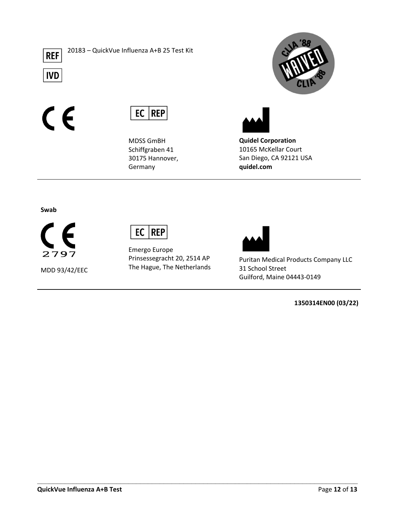

20183 – QuickVue Influenza A+B 25 Test Kit

**IVD** 

 $\epsilon$ 



MDSS GmBH Schiffgraben 41 30175 Hannover, Germany





**Quidel Corporation** 10165 McKellar Court San Diego, CA 92121 USA **quidel.com**

**Swab**

F 2797

MDD 93/42/EEC



Emergo Europe Prinsessegracht 20, 2514 AP The Hague, The Netherlands

**\_\_\_\_\_\_\_\_\_\_\_\_\_\_\_\_\_\_\_\_\_\_\_\_\_\_\_\_\_\_\_\_\_\_\_\_\_\_\_\_\_\_\_\_\_\_\_\_\_\_\_\_\_\_\_\_\_\_\_\_\_\_\_\_\_\_\_\_\_\_\_\_\_\_\_\_\_\_\_\_\_**



Puritan Medical Products Company LLC 31 School Street Guilford, Maine 04443-0149

**1350314EN00 (03/22)**